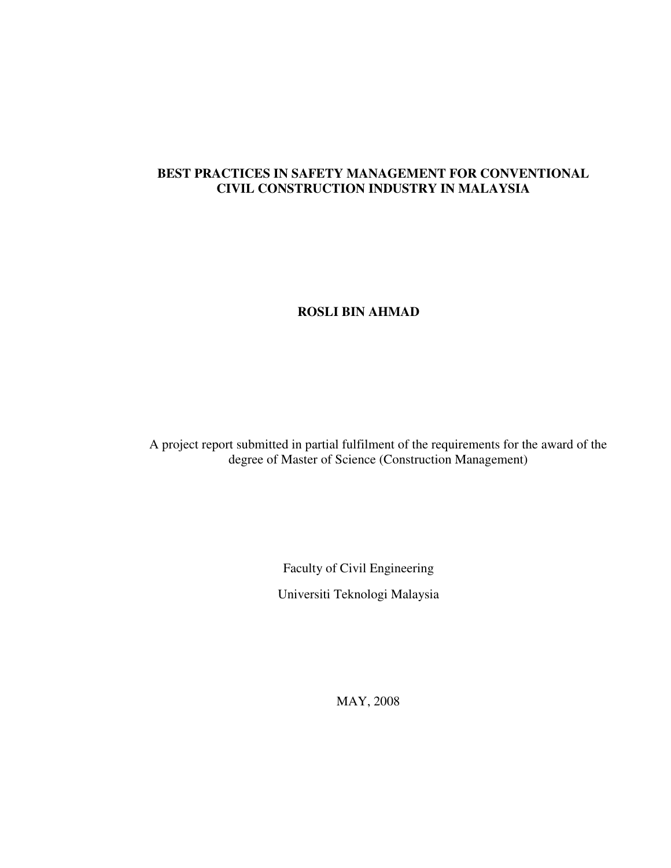## **BEST PRACTICES IN SAFETY MANAGEMENT FOR CONVENTIONAL CIVIL CONSTRUCTION INDUSTRY IN MALAYSIA**

## **ROSLI BIN AHMAD**

A project report submitted in partial fulfilment of the requirements for the award of the degree of Master of Science (Construction Management)

> Faculty of Civil Engineering Universiti Teknologi Malaysia

> > MAY, 2008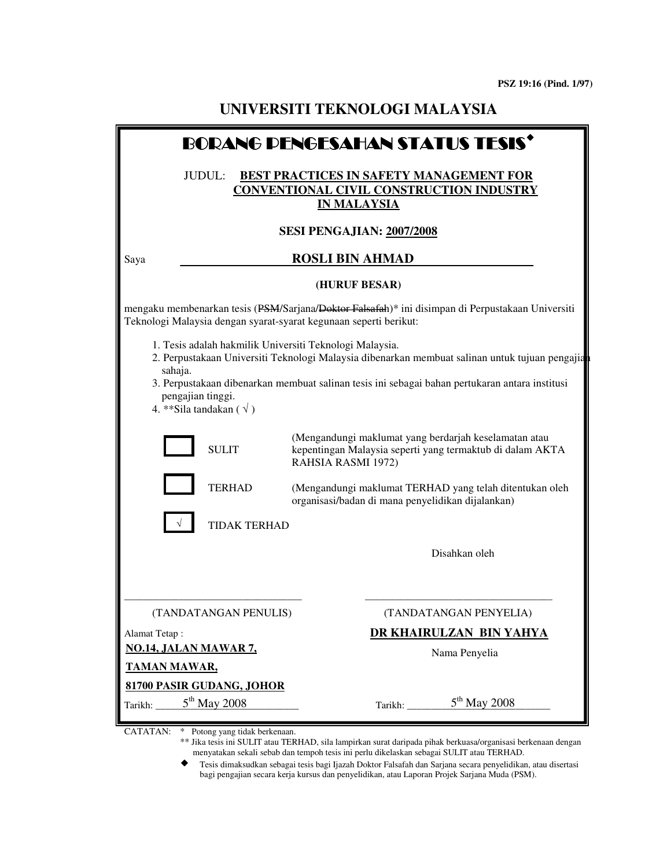| <b>BORANG DENGESAHAN STATUS TESIS'</b>                                                                                                                                                                                                                                                                                           |                              |                                                                                                                                                                       |  |
|----------------------------------------------------------------------------------------------------------------------------------------------------------------------------------------------------------------------------------------------------------------------------------------------------------------------------------|------------------------------|-----------------------------------------------------------------------------------------------------------------------------------------------------------------------|--|
| JUDUL:<br>BEST PRACTICES IN SAFETY MANAGEMENT FOR<br>CONVENTIONAL CIVIL CONSTRUCTION INDUSTRY<br><u>IN MALAYSIA</u>                                                                                                                                                                                                              |                              |                                                                                                                                                                       |  |
|                                                                                                                                                                                                                                                                                                                                  |                              | SESI PENGAJIAN: 2007/2008                                                                                                                                             |  |
| Saya                                                                                                                                                                                                                                                                                                                             |                              | <b>ROSLI BIN AHMAD</b>                                                                                                                                                |  |
|                                                                                                                                                                                                                                                                                                                                  |                              | (HURUF BESAR)                                                                                                                                                         |  |
|                                                                                                                                                                                                                                                                                                                                  |                              | mengaku membenarkan tesis (PSM/Sarjana/Doktor Falsafah)* ini disimpan di Perpustakaan Universiti<br>Teknologi Malaysia dengan syarat-syarat kegunaan seperti berikut: |  |
| 1. Tesis adalah hakmilik Universiti Teknologi Malaysia.<br>2. Perpustakaan Universiti Teknologi Malaysia dibenarkan membuat salinan untuk tujuan pengajia<br>sahaja.<br>3. Perpustakaan dibenarkan membuat salinan tesis ini sebagai bahan pertukaran antara institusi<br>pengajian tinggi.<br>4. **Sila tandakan ( $\sqrt{ }$ ) |                              |                                                                                                                                                                       |  |
|                                                                                                                                                                                                                                                                                                                                  | <b>SULIT</b>                 | (Mengandungi maklumat yang berdarjah keselamatan atau<br>kepentingan Malaysia seperti yang termaktub di dalam AKTA<br>RAHSIA RASMI 1972)                              |  |
|                                                                                                                                                                                                                                                                                                                                  | <b>TERHAD</b>                | (Mengandungi maklumat TERHAD yang telah ditentukan oleh<br>organisasi/badan di mana penyelidikan dijalankan)                                                          |  |
|                                                                                                                                                                                                                                                                                                                                  | <b>TIDAK TERHAD</b>          |                                                                                                                                                                       |  |
|                                                                                                                                                                                                                                                                                                                                  |                              | Disahkan oleh                                                                                                                                                         |  |
|                                                                                                                                                                                                                                                                                                                                  | (TANDATANGAN PENULIS)        | (TANDATANGAN PENYELIA)                                                                                                                                                |  |
| Alamat Tetap:                                                                                                                                                                                                                                                                                                                    | <b>NO.14, JALAN MAWAR 7,</b> | DR KHAIRULZAN BIN YAHYA                                                                                                                                               |  |
| <b>TAMAN MAWAR,</b>                                                                                                                                                                                                                                                                                                              |                              | Nama Penyelia                                                                                                                                                         |  |
|                                                                                                                                                                                                                                                                                                                                  | 81700 PASIR GUDANG, JOHOR    |                                                                                                                                                                       |  |
| Tarikh:                                                                                                                                                                                                                                                                                                                          | $5th$ May 2008               | $5th$ May 2008                                                                                                                                                        |  |

CATATAN: \* Potong yang tidak berkenaan.

- \*\* Jika tesis ini SULIT atau TERHAD, sila lampirkan surat daripada pihak berkuasa/organisasi berkenaan dengan menyatakan sekali sebab dan tempoh tesis ini perlu dikelaskan sebagai SULIT atau TERHAD.
- ◆ Tesis dimaksudkan sebagai tesis bagi Ijazah Doktor Falsafah dan Sarjana secara penyelidikan, atau disertasi bagi pengajian secara kerja kursus dan penyelidikan, atau Laporan Projek Sarjana Muda (PSM).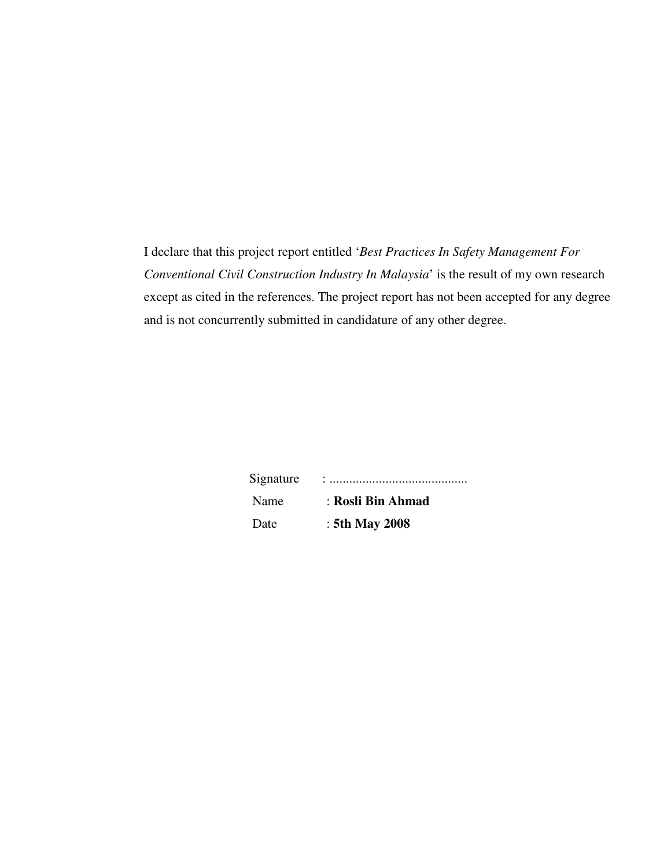I declare that this project report entitled '*Best Practices In Safety Management For Conventional Civil Construction Industry In Malaysia*' is the result of my own research except as cited in the references. The project report has not been accepted for any degree and is not concurrently submitted in candidature of any other degree.

| Signature |                   |
|-----------|-------------------|
| Name      | : Rosli Bin Ahmad |
| Date      | : 5th May 2008    |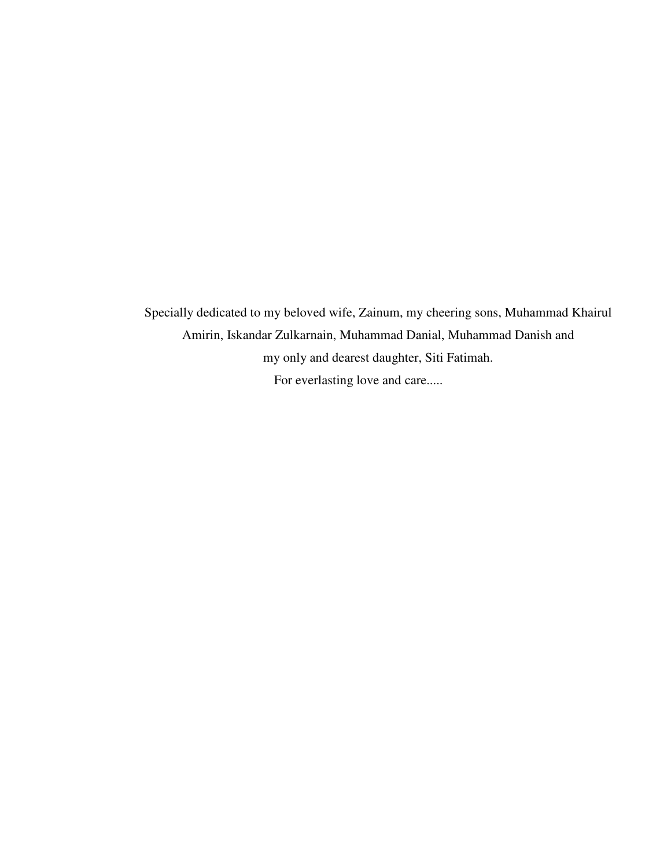Specially dedicated to my beloved wife, Zainum, my cheering sons, Muhammad Khairul Amirin, Iskandar Zulkarnain, Muhammad Danial, Muhammad Danish and my only and dearest daughter, Siti Fatimah. For everlasting love and care.....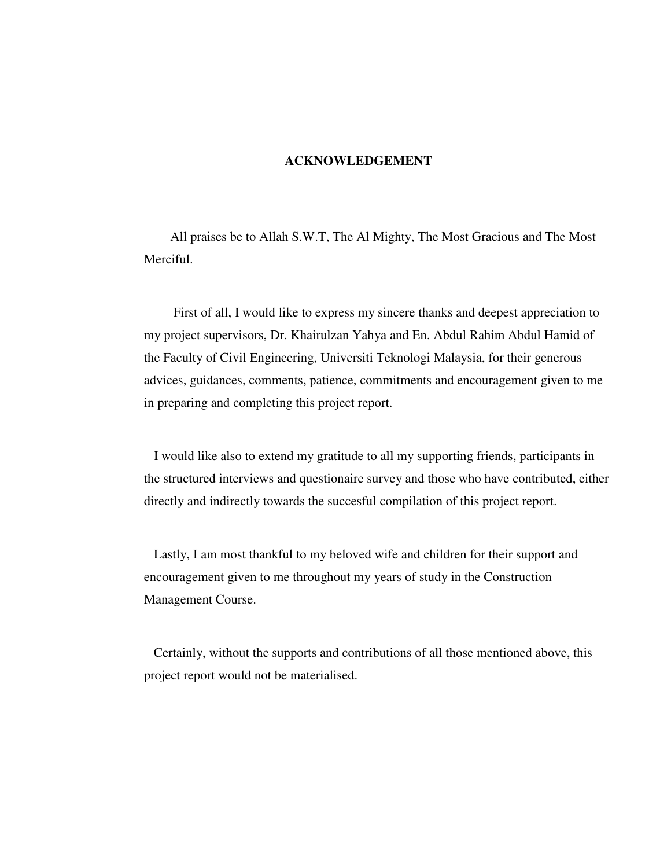### **ACKNOWLEDGEMENT**

All praises be to Allah S.W.T, The Al Mighty, The Most Gracious and The Most Merciful.

 First of all, I would like to express my sincere thanks and deepest appreciation to my project supervisors, Dr. Khairulzan Yahya and En. Abdul Rahim Abdul Hamid of the Faculty of Civil Engineering, Universiti Teknologi Malaysia, for their generous advices, guidances, comments, patience, commitments and encouragement given to me in preparing and completing this project report.

 I would like also to extend my gratitude to all my supporting friends, participants in the structured interviews and questionaire survey and those who have contributed, either directly and indirectly towards the succesful compilation of this project report.

 Lastly, I am most thankful to my beloved wife and children for their support and encouragement given to me throughout my years of study in the Construction Management Course.

 Certainly, without the supports and contributions of all those mentioned above, this project report would not be materialised.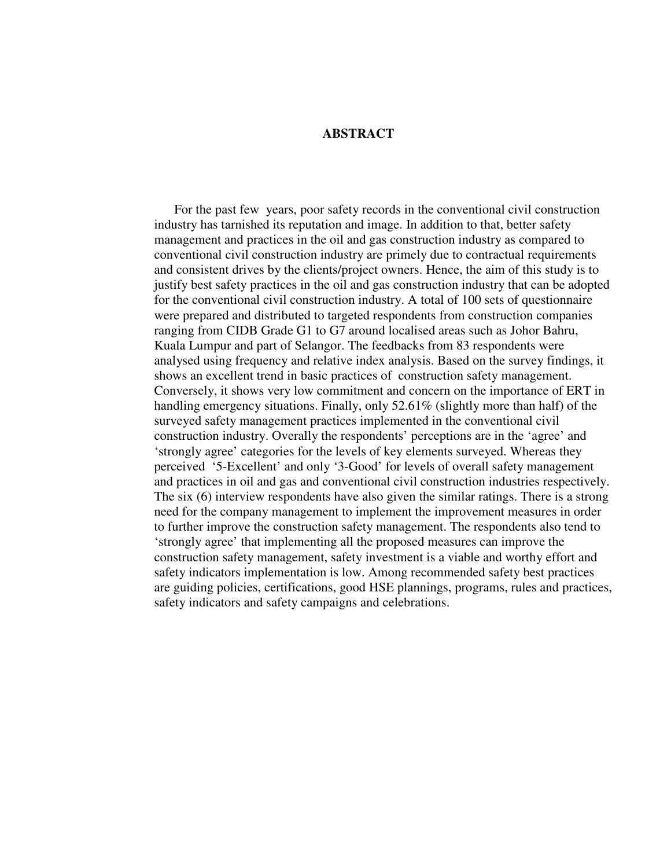## **ABSTRACT**

 For the past few years, poor safety records in the conventional civil construction industry has tarnished its reputation and image. In addition to that, better safety management and practices in the oil and gas construction industry as compared to conventional civil construction industry are primely due to contractual requirements and consistent drives by the clients/project owners. Hence, the aim of this study is to justify best safety practices in the oil and gas construction industry that can be adopted for the conventional civil construction industry. A total of 100 sets of questionnaire were prepared and distributed to targeted respondents from construction companies ranging from CIDB Grade G1 to G7 around localised areas such as Johor Bahru, Kuala Lumpur and part of Selangor. The feedbacks from 83 respondents were analysed using frequency and relative index analysis. Based on the survey findings, it shows an excellent trend in basic practices of construction safety management. Conversely, it shows very low commitment and concern on the importance of ERT in handling emergency situations. Finally, only 52.61% (slightly more than half) of the surveyed safety management practices implemented in the conventional civil construction industry. Overally the respondents' perceptions are in the 'agree' and 'strongly agree' categories for the levels of key elements surveyed. Whereas they perceived '5-Excellent' and only '3-Good' for levels of overall safety management and practices in oil and gas and conventional civil construction industries respectively. The six (6) interview respondents have also given the similar ratings. There is a strong need for the company management to implement the improvement measures in order to further improve the construction safety management. The respondents also tend to 'strongly agree' that implementing all the proposed measures can improve the construction safety management, safety investment is a viable and worthy effort and safety indicators implementation is low. Among recommended safety best practices are guiding policies, certifications, good HSE plannings, programs, rules and practices, safety indicators and safety campaigns and celebrations.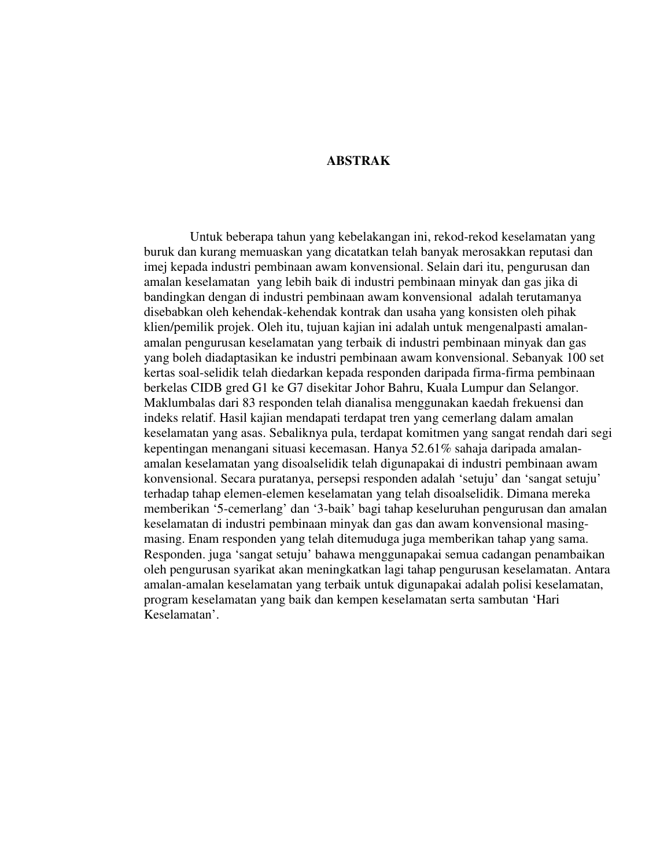## **ABSTRAK**

 Untuk beberapa tahun yang kebelakangan ini, rekod-rekod keselamatan yang buruk dan kurang memuaskan yang dicatatkan telah banyak merosakkan reputasi dan imej kepada industri pembinaan awam konvensional. Selain dari itu, pengurusan dan amalan keselamatan yang lebih baik di industri pembinaan minyak dan gas jika di bandingkan dengan di industri pembinaan awam konvensional adalah terutamanya disebabkan oleh kehendak-kehendak kontrak dan usaha yang konsisten oleh pihak klien/pemilik projek. Oleh itu, tujuan kajian ini adalah untuk mengenalpasti amalanamalan pengurusan keselamatan yang terbaik di industri pembinaan minyak dan gas yang boleh diadaptasikan ke industri pembinaan awam konvensional. Sebanyak 100 set kertas soal-selidik telah diedarkan kepada responden daripada firma-firma pembinaan berkelas CIDB gred G1 ke G7 disekitar Johor Bahru, Kuala Lumpur dan Selangor. Maklumbalas dari 83 responden telah dianalisa menggunakan kaedah frekuensi dan indeks relatif. Hasil kajian mendapati terdapat tren yang cemerlang dalam amalan keselamatan yang asas. Sebaliknya pula, terdapat komitmen yang sangat rendah dari segi kepentingan menangani situasi kecemasan. Hanya 52.61% sahaja daripada amalanamalan keselamatan yang disoalselidik telah digunapakai di industri pembinaan awam konvensional. Secara puratanya, persepsi responden adalah 'setuju' dan 'sangat setuju' terhadap tahap elemen-elemen keselamatan yang telah disoalselidik. Dimana mereka memberikan '5-cemerlang' dan '3-baik' bagi tahap keseluruhan pengurusan dan amalan keselamatan di industri pembinaan minyak dan gas dan awam konvensional masingmasing. Enam responden yang telah ditemuduga juga memberikan tahap yang sama. Responden. juga 'sangat setuju' bahawa menggunapakai semua cadangan penambaikan oleh pengurusan syarikat akan meningkatkan lagi tahap pengurusan keselamatan. Antara amalan-amalan keselamatan yang terbaik untuk digunapakai adalah polisi keselamatan, program keselamatan yang baik dan kempen keselamatan serta sambutan 'Hari Keselamatan'.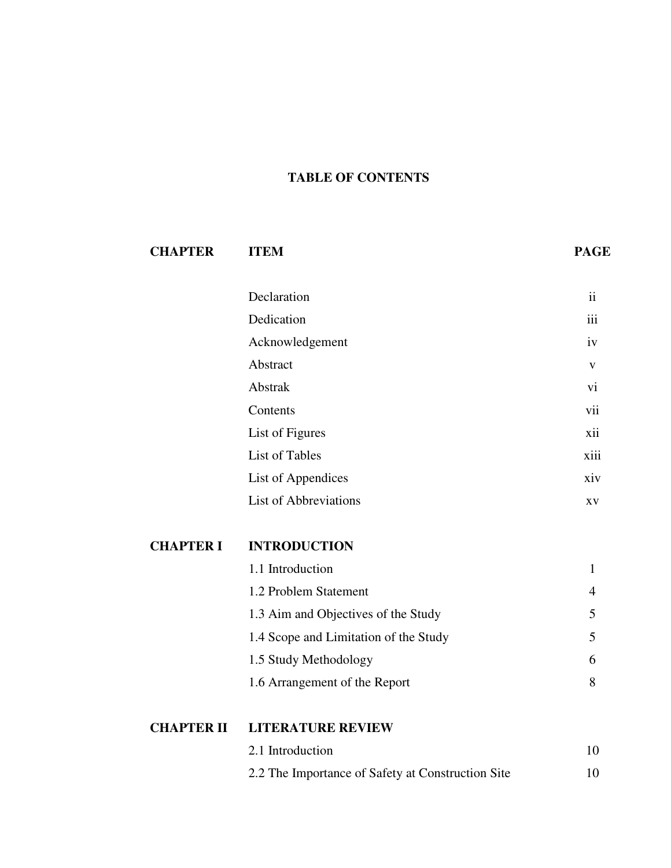# **TABLE OF CONTENTS**

| <b>CHAPTER</b>    | <b>ITEM</b>                                       | <b>PAGE</b>             |
|-------------------|---------------------------------------------------|-------------------------|
|                   | Declaration                                       | $\overline{\mathbf{1}}$ |
|                   | Dedication                                        | iii                     |
|                   | Acknowledgement                                   | iv                      |
|                   | Abstract                                          | V                       |
|                   | Abstrak                                           | vi                      |
|                   | Contents                                          | vii                     |
|                   | List of Figures                                   | xii                     |
|                   | <b>List of Tables</b>                             | xiii                    |
|                   | List of Appendices                                | xiv                     |
|                   | <b>List of Abbreviations</b>                      | XV                      |
| <b>CHAPTER I</b>  | <b>INTRODUCTION</b>                               |                         |
|                   | 1.1 Introduction                                  | $\mathbf{1}$            |
|                   | 1.2 Problem Statement                             | $\overline{4}$          |
|                   | 1.3 Aim and Objectives of the Study               | 5                       |
|                   | 1.4 Scope and Limitation of the Study             | 5                       |
|                   | 1.5 Study Methodology                             | 6                       |
|                   | 1.6 Arrangement of the Report                     | 8                       |
| <b>CHAPTER II</b> | <b>LITERATURE REVIEW</b>                          |                         |
|                   | 2.1 Introduction                                  | 10                      |
|                   | 2.2 The Importance of Safety at Construction Site | 10                      |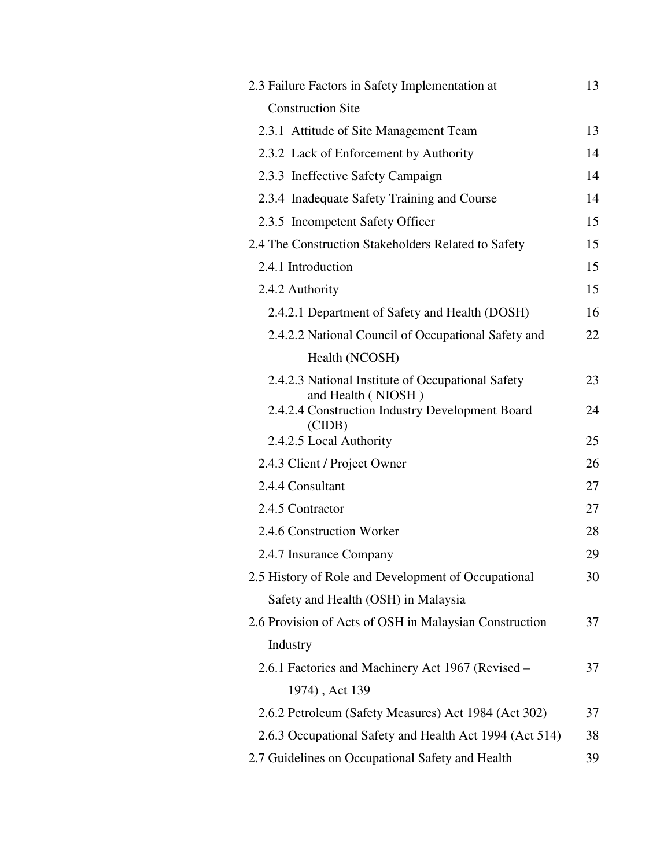| 2.3 Failure Factors in Safety Implementation at                                 | 13 |
|---------------------------------------------------------------------------------|----|
| <b>Construction Site</b>                                                        |    |
| 2.3.1 Attitude of Site Management Team                                          | 13 |
| 2.3.2 Lack of Enforcement by Authority                                          | 14 |
| 2.3.3 Ineffective Safety Campaign                                               | 14 |
| 2.3.4 Inadequate Safety Training and Course                                     | 14 |
| 2.3.5 Incompetent Safety Officer                                                | 15 |
| 2.4 The Construction Stakeholders Related to Safety                             | 15 |
| 2.4.1 Introduction                                                              | 15 |
| 2.4.2 Authority                                                                 | 15 |
| 2.4.2.1 Department of Safety and Health (DOSH)                                  | 16 |
| 2.4.2.2 National Council of Occupational Safety and                             | 22 |
| Health (NCOSH)                                                                  |    |
| 2.4.2.3 National Institute of Occupational Safety                               | 23 |
| and Health (NIOSH)<br>2.4.2.4 Construction Industry Development Board<br>(CIDB) | 24 |
| 2.4.2.5 Local Authority                                                         | 25 |
| 2.4.3 Client / Project Owner                                                    | 26 |
| 2.4.4 Consultant                                                                | 27 |
| 2.4.5 Contractor                                                                | 27 |
| 2.4.6 Construction Worker                                                       | 28 |
| 2.4.7 Insurance Company                                                         | 29 |
| 2.5 History of Role and Development of Occupational                             | 30 |
| Safety and Health (OSH) in Malaysia                                             |    |
| 2.6 Provision of Acts of OSH in Malaysian Construction                          | 37 |
| Industry                                                                        |    |
| 2.6.1 Factories and Machinery Act 1967 (Revised -                               | 37 |
| 1974), Act 139                                                                  |    |
| 2.6.2 Petroleum (Safety Measures) Act 1984 (Act 302)                            | 37 |
| 2.6.3 Occupational Safety and Health Act 1994 (Act 514)                         | 38 |
| 2.7 Guidelines on Occupational Safety and Health                                | 39 |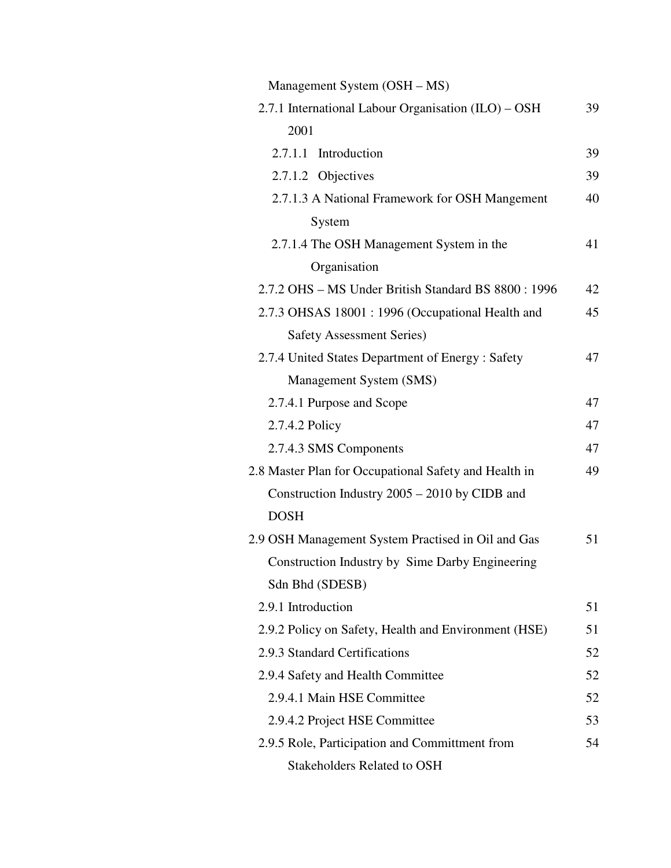| Management System (OSH – MS)                          |    |
|-------------------------------------------------------|----|
| 2.7.1 International Labour Organisation (ILO) – OSH   | 39 |
| 2001                                                  |    |
| 2.7.1.1 Introduction                                  | 39 |
| 2.7.1.2 Objectives                                    | 39 |
| 2.7.1.3 A National Framework for OSH Mangement        | 40 |
| System                                                |    |
| 2.7.1.4 The OSH Management System in the              | 41 |
| Organisation                                          |    |
| 2.7.2 OHS – MS Under British Standard BS 8800: 1996   | 42 |
| 2.7.3 OHSAS 18001 : 1996 (Occupational Health and     | 45 |
| <b>Safety Assessment Series)</b>                      |    |
| 2.7.4 United States Department of Energy: Safety      | 47 |
| Management System (SMS)                               |    |
| 2.7.4.1 Purpose and Scope                             | 47 |
| 2.7.4.2 Policy                                        | 47 |
| 2.7.4.3 SMS Components                                | 47 |
| 2.8 Master Plan for Occupational Safety and Health in | 49 |
| Construction Industry 2005 – 2010 by CIDB and         |    |
| <b>DOSH</b>                                           |    |
| 2.9 OSH Management System Practised in Oil and Gas    | 51 |
| Construction Industry by Sime Darby Engineering       |    |
| Sdn Bhd (SDESB)                                       |    |
| 2.9.1 Introduction                                    | 51 |
| 2.9.2 Policy on Safety, Health and Environment (HSE)  | 51 |
| 2.9.3 Standard Certifications                         | 52 |
| 2.9.4 Safety and Health Committee                     | 52 |
| 2.9.4.1 Main HSE Committee                            | 52 |
| 2.9.4.2 Project HSE Committee                         | 53 |
| 2.9.5 Role, Participation and Committment from        | 54 |
| <b>Stakeholders Related to OSH</b>                    |    |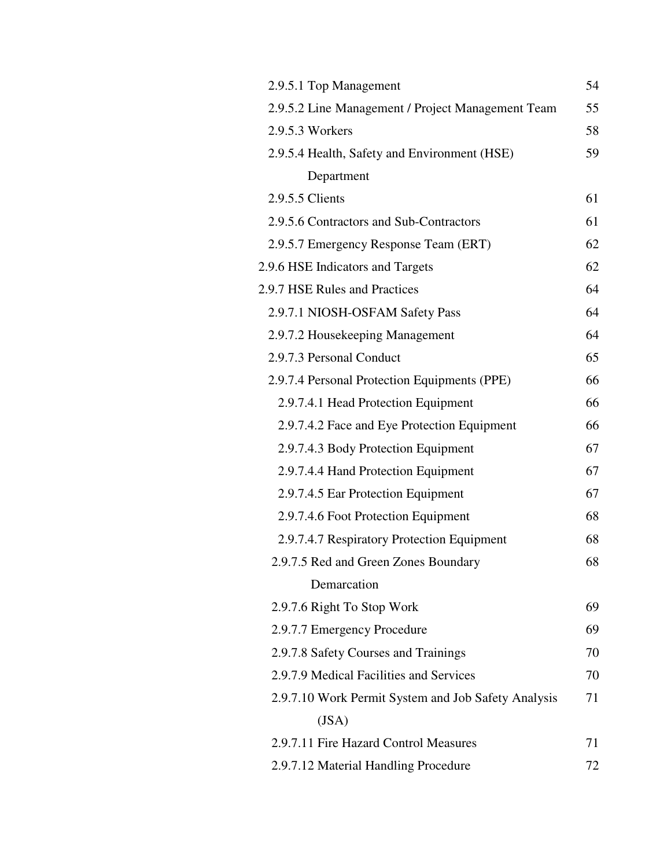| 2.9.5.1 Top Management                              | 54 |
|-----------------------------------------------------|----|
| 2.9.5.2 Line Management / Project Management Team   | 55 |
| 2.9.5.3 Workers                                     | 58 |
| 2.9.5.4 Health, Safety and Environment (HSE)        | 59 |
| Department                                          |    |
| 2.9.5.5 Clients                                     | 61 |
| 2.9.5.6 Contractors and Sub-Contractors             | 61 |
| 2.9.5.7 Emergency Response Team (ERT)               | 62 |
| 2.9.6 HSE Indicators and Targets                    | 62 |
| 2.9.7 HSE Rules and Practices                       | 64 |
| 2.9.7.1 NIOSH-OSFAM Safety Pass                     | 64 |
| 2.9.7.2 Housekeeping Management                     | 64 |
| 2.9.7.3 Personal Conduct                            | 65 |
| 2.9.7.4 Personal Protection Equipments (PPE)        | 66 |
| 2.9.7.4.1 Head Protection Equipment                 | 66 |
| 2.9.7.4.2 Face and Eye Protection Equipment         | 66 |
| 2.9.7.4.3 Body Protection Equipment                 | 67 |
| 2.9.7.4.4 Hand Protection Equipment                 | 67 |
| 2.9.7.4.5 Ear Protection Equipment                  | 67 |
| 2.9.7.4.6 Foot Protection Equipment                 | 68 |
| 2.9.7.4.7 Respiratory Protection Equipment          | 68 |
| 2.9.7.5 Red and Green Zones Boundary                | 68 |
| Demarcation                                         |    |
| 2.9.7.6 Right To Stop Work                          | 69 |
| 2.9.7.7 Emergency Procedure                         | 69 |
| 2.9.7.8 Safety Courses and Trainings                | 70 |
| 2.9.7.9 Medical Facilities and Services             | 70 |
| 2.9.7.10 Work Permit System and Job Safety Analysis | 71 |
| (JSA)                                               |    |
| 2.9.7.11 Fire Hazard Control Measures               | 71 |
| 2.9.7.12 Material Handling Procedure                | 72 |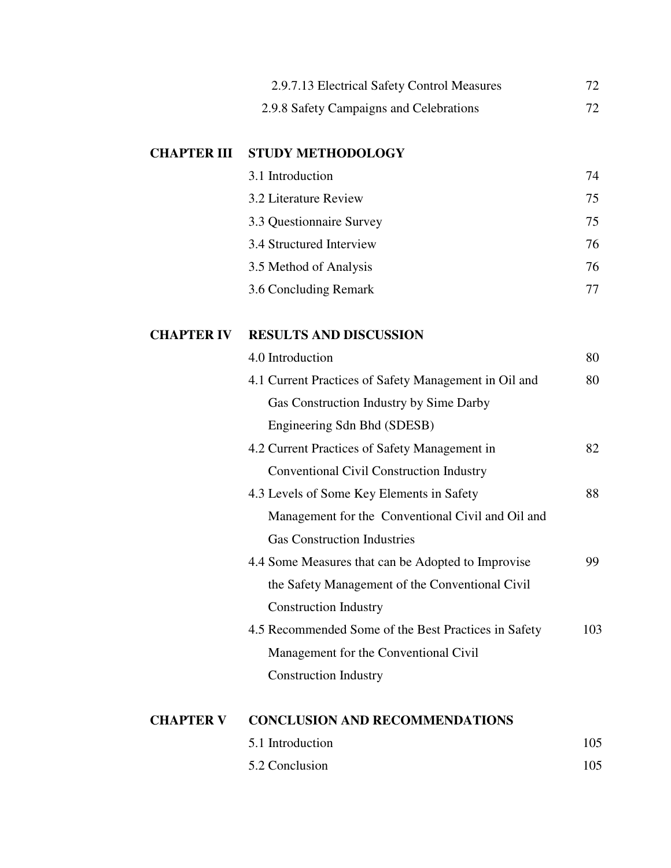|                    | 2.9.7.13 Electrical Safety Control Measures           |
|--------------------|-------------------------------------------------------|
|                    | 2.9.8 Safety Campaigns and Celebrations               |
| <b>CHAPTER III</b> | <b>STUDY METHODOLOGY</b>                              |
|                    | 3.1 Introduction                                      |
|                    | 3.2 Literature Review                                 |
|                    | 3.3 Questionnaire Survey                              |
|                    | 3.4 Structured Interview                              |
|                    | 3.5 Method of Analysis                                |
|                    | 3.6 Concluding Remark                                 |
| <b>CHAPTER IV</b>  | <b>RESULTS AND DISCUSSION</b>                         |
|                    | 4.0 Introduction                                      |
|                    | 4.1 Current Practices of Safety Management in Oil and |
|                    | Gas Construction Industry by Sime Darby               |
|                    | Engineering Sdn Bhd (SDESB)                           |
|                    | 4.2 Current Practices of Safety Management in         |
|                    | <b>Conventional Civil Construction Industry</b>       |
|                    | 4.3 Levels of Some Key Elements in Safety             |
|                    | Management for the Conventional Civil and Oil and     |
|                    | <b>Gas Construction Industries</b>                    |
|                    | 4.4 Some Measures that can be Adopted to Improvise    |
|                    |                                                       |
|                    | the Safety Management of the Conventional Civil       |
|                    | <b>Construction Industry</b>                          |
|                    | 4.5 Recommended Some of the Best Practices in Safety  |
|                    | Management for the Conventional Civil                 |

| 5.1 Introduction | 105 |
|------------------|-----|
| 5.2 Conclusion   | 105 |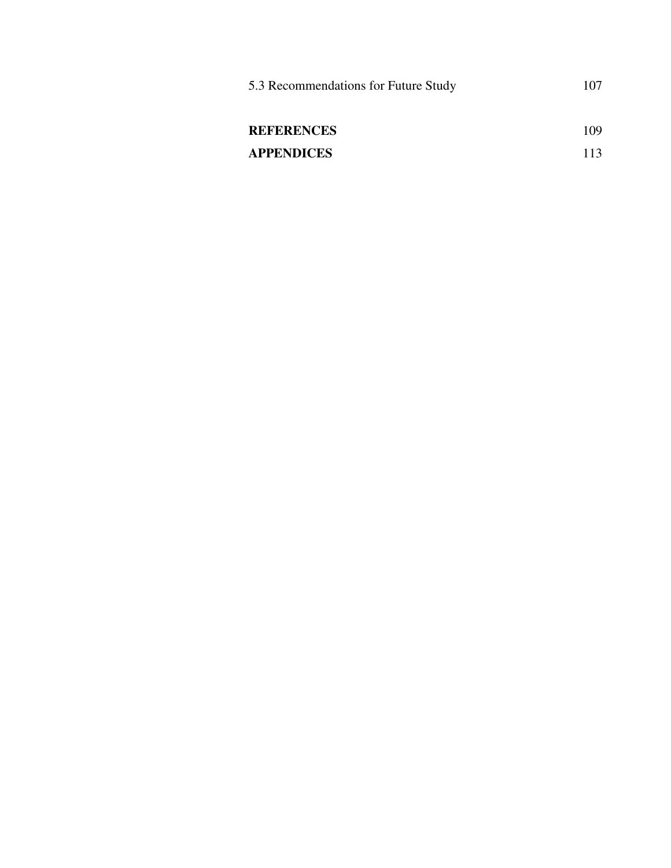| 5.3 Recommendations for Future Study |     |
|--------------------------------------|-----|
| <b>REFERENCES</b>                    | 109 |
| <b>APPENDICES</b>                    | 113 |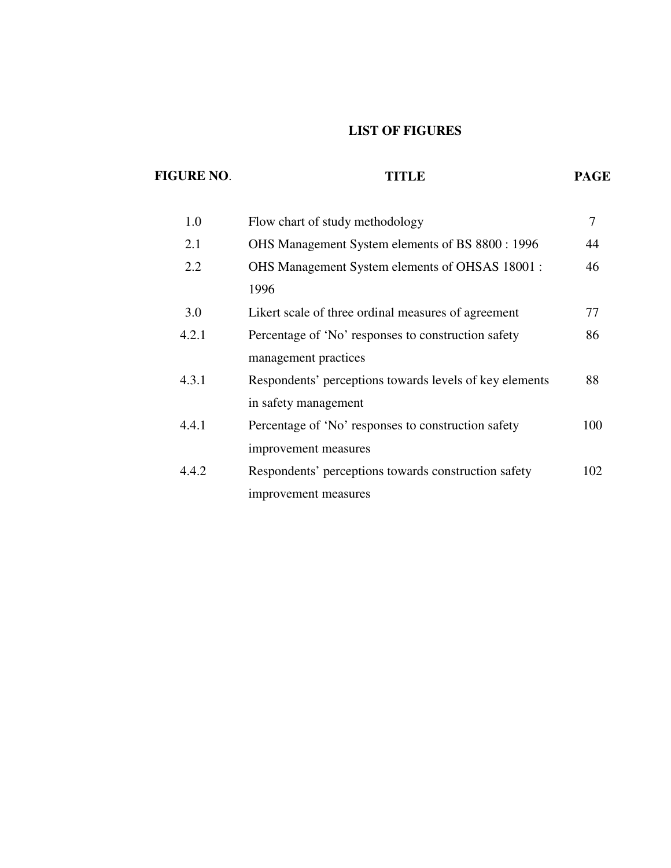# **LIST OF FIGURES**

| <b>FIGURE NO.</b> | TITLE                                                   | <b>PAGE</b> |
|-------------------|---------------------------------------------------------|-------------|
| 1.0               | Flow chart of study methodology                         | 7           |
| 2.1               | OHS Management System elements of BS 8800 : 1996        | 44          |
| 2.2               | OHS Management System elements of OHSAS 18001 :         | 46          |
|                   | 1996                                                    |             |
| 3.0               | Likert scale of three ordinal measures of agreement     | 77          |
| 4.2.1             | Percentage of 'No' responses to construction safety     | 86          |
|                   | management practices                                    |             |
| 4.3.1             | Respondents' perceptions towards levels of key elements | 88          |
|                   | in safety management                                    |             |
| 4.4.1             | Percentage of 'No' responses to construction safety     | 100         |
|                   | improvement measures                                    |             |
| 4.4.2             | Respondents' perceptions towards construction safety    | 102         |
|                   | improvement measures                                    |             |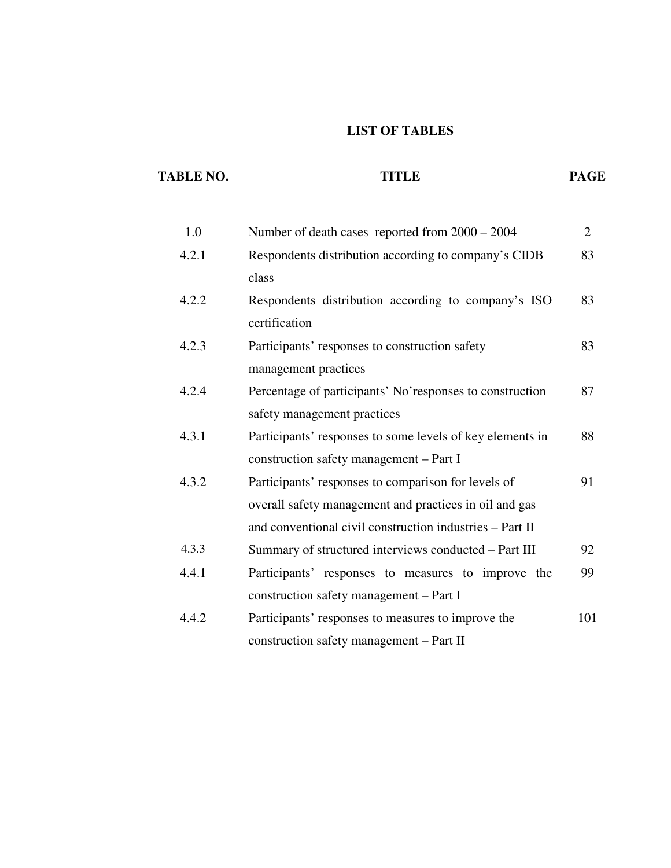# **LIST OF TABLES**

| <b>TABLE NO.</b> | <b>TITLE</b>                                                                                                                                                              | <b>PAGE</b>    |
|------------------|---------------------------------------------------------------------------------------------------------------------------------------------------------------------------|----------------|
| 1.0              | Number of death cases reported from $2000 - 2004$                                                                                                                         | $\overline{2}$ |
| 4.2.1            | Respondents distribution according to company's CIDB<br>class                                                                                                             | 83             |
| 4.2.2            | Respondents distribution according to company's ISO<br>certification                                                                                                      | 83             |
| 4.2.3            | Participants' responses to construction safety<br>management practices                                                                                                    | 83             |
| 4.2.4            | Percentage of participants' No'responses to construction<br>safety management practices                                                                                   | 87             |
| 4.3.1            | Participants' responses to some levels of key elements in<br>construction safety management – Part I                                                                      | 88             |
| 4.3.2            | Participants' responses to comparison for levels of<br>overall safety management and practices in oil and gas<br>and conventional civil construction industries - Part II | 91             |
| 4.3.3            | Summary of structured interviews conducted - Part III                                                                                                                     | 92             |
| 4.4.1            | Participants' responses to measures to improve the<br>construction safety management – Part I                                                                             | 99             |
| 4.4.2            | Participants' responses to measures to improve the<br>construction safety management - Part II                                                                            | 101            |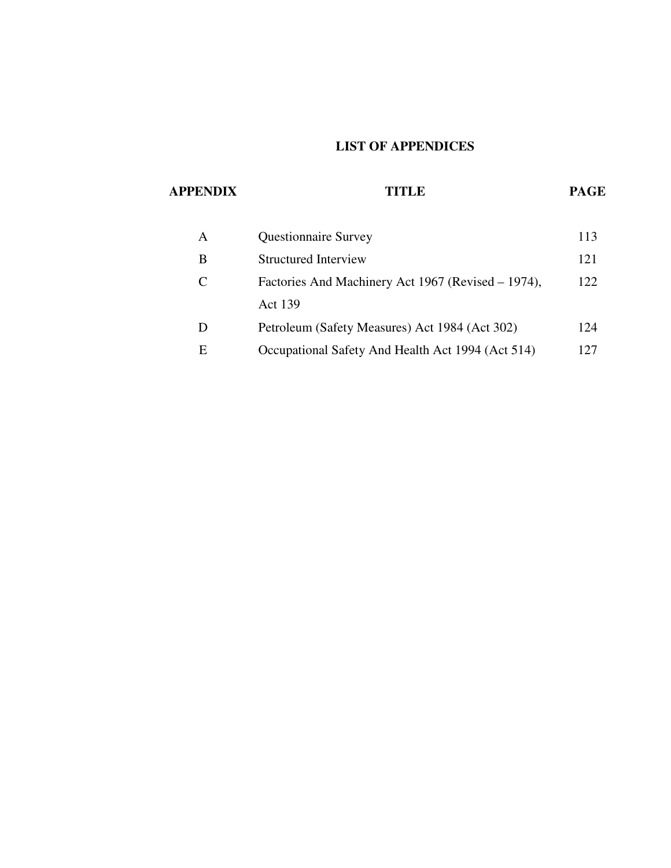# **LIST OF APPENDICES**

# **APPENDIX TITLE PAGE**

| A | <b>Questionnaire Survey</b>                        | 113 |
|---|----------------------------------------------------|-----|
| В | Structured Interview                               | 121 |
| C | Factories And Machinery Act 1967 (Revised – 1974), | 122 |
|   | <b>Act 139</b>                                     |     |
|   | Petroleum (Safety Measures) Act 1984 (Act 302)     | 124 |
| Е | Occupational Safety And Health Act 1994 (Act 514)  | 127 |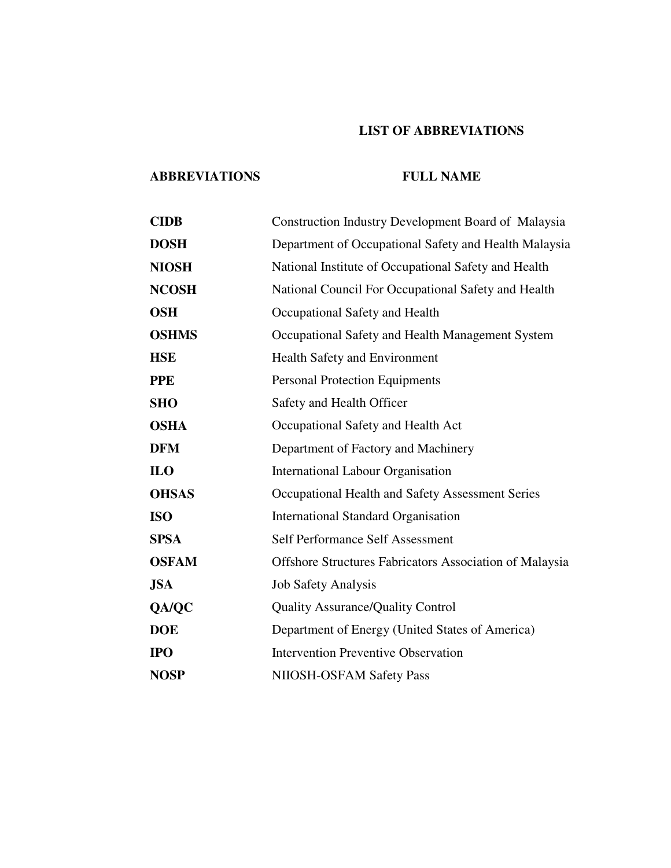# **LIST OF ABBREVIATIONS**

## **ABBREVIATIONS FULL NAME**

| <b>CIDB</b>  | <b>Construction Industry Development Board of Malaysia</b>     |  |  |  |  |
|--------------|----------------------------------------------------------------|--|--|--|--|
| <b>DOSH</b>  | Department of Occupational Safety and Health Malaysia          |  |  |  |  |
| <b>NIOSH</b> | National Institute of Occupational Safety and Health           |  |  |  |  |
| <b>NCOSH</b> | National Council For Occupational Safety and Health            |  |  |  |  |
| <b>OSH</b>   | Occupational Safety and Health                                 |  |  |  |  |
| <b>OSHMS</b> | Occupational Safety and Health Management System               |  |  |  |  |
| <b>HSE</b>   | <b>Health Safety and Environment</b>                           |  |  |  |  |
| <b>PPE</b>   | <b>Personal Protection Equipments</b>                          |  |  |  |  |
| <b>SHO</b>   | Safety and Health Officer                                      |  |  |  |  |
| <b>OSHA</b>  | Occupational Safety and Health Act                             |  |  |  |  |
| <b>DFM</b>   | Department of Factory and Machinery                            |  |  |  |  |
| <b>ILO</b>   | <b>International Labour Organisation</b>                       |  |  |  |  |
| <b>OHSAS</b> | Occupational Health and Safety Assessment Series               |  |  |  |  |
| <b>ISO</b>   | <b>International Standard Organisation</b>                     |  |  |  |  |
| <b>SPSA</b>  | Self Performance Self Assessment                               |  |  |  |  |
| <b>OSFAM</b> | <b>Offshore Structures Fabricators Association of Malaysia</b> |  |  |  |  |
| <b>JSA</b>   | <b>Job Safety Analysis</b>                                     |  |  |  |  |
| QA/QC        | <b>Quality Assurance/Quality Control</b>                       |  |  |  |  |
| <b>DOE</b>   | Department of Energy (United States of America)                |  |  |  |  |
| <b>IPO</b>   | <b>Intervention Preventive Observation</b>                     |  |  |  |  |
| <b>NOSP</b>  | NIIOSH-OSFAM Safety Pass                                       |  |  |  |  |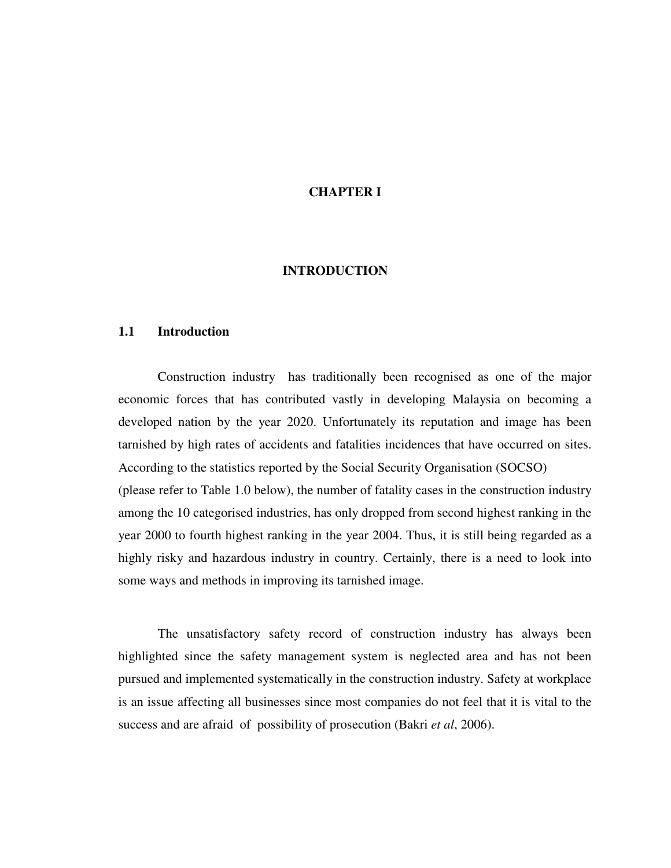## **CHAPTER I**

### **INTRODUCTION**

### **1.1 Introduction**

 Construction industry has traditionally been recognised as one of the major economic forces that has contributed vastly in developing Malaysia on becoming a developed nation by the year 2020. Unfortunately its reputation and image has been tarnished by high rates of accidents and fatalities incidences that have occurred on sites. According to the statistics reported by the Social Security Organisation (SOCSO) (please refer to Table 1.0 below), the number of fatality cases in the construction industry among the 10 categorised industries, has only dropped from second highest ranking in the year 2000 to fourth highest ranking in the year 2004. Thus, it is still being regarded as a highly risky and hazardous industry in country. Certainly, there is a need to look into some ways and methods in improving its tarnished image.

 The unsatisfactory safety record of construction industry has always been highlighted since the safety management system is neglected area and has not been pursued and implemented systematically in the construction industry. Safety at workplace is an issue affecting all businesses since most companies do not feel that it is vital to the success and are afraid of possibility of prosecution (Bakri *et al*, 2006).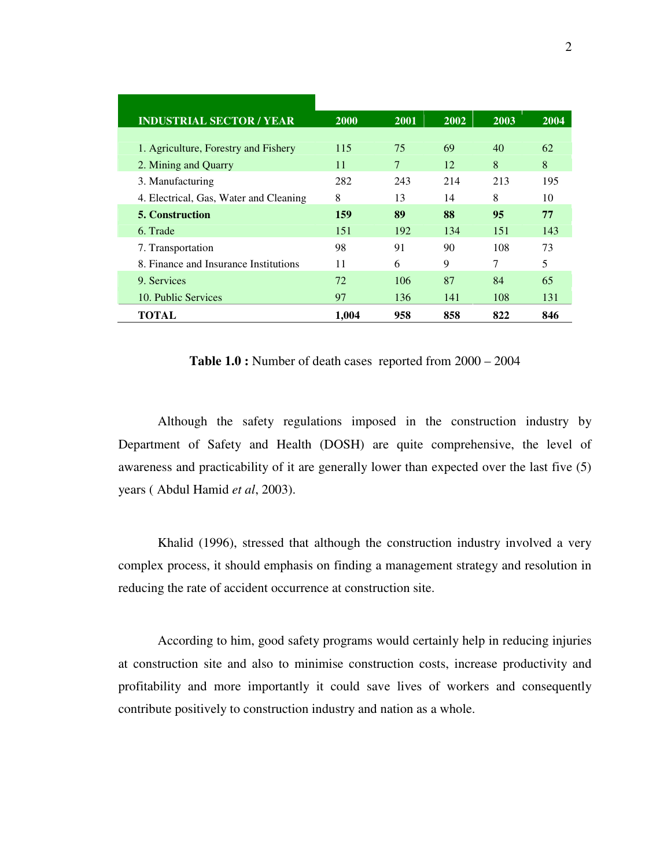| <b>INDUSTRIAL SECTOR / YEAR</b>        | <b>2000</b> | <b>2001</b> | 2002 | 2003 | 2004 |
|----------------------------------------|-------------|-------------|------|------|------|
|                                        |             |             |      |      |      |
| 1. Agriculture, Forestry and Fishery   | 115         | 75          | 69   | 40   | 62   |
| 2. Mining and Quarry                   | 11          | $\tau$      | 12   | 8    | 8    |
| 3. Manufacturing                       | 282         | 243         | 214  | 213  | 195  |
| 4. Electrical, Gas, Water and Cleaning | 8           | 13          | 14   | 8    | 10   |
| <b>5. Construction</b>                 | 159         | 89          | 88   | 95   | 77   |
| 6. Trade                               | 151         | 192         | 134  | 151  | 143  |
| 7. Transportation                      | 98          | 91          | 90   | 108  | 73   |
| 8. Finance and Insurance Institutions  | 11          | 6           | 9    | 7    | 5    |
| 9. Services                            | 72          | 106         | 87   | 84   | 65   |
| 10. Public Services                    | 97          | 136         | 141  | 108  | 131  |
| TOTAL                                  | 1.004       | 958         | 858  | 822  | 846  |

**Table 1.0 :** Number of death cases reported from 2000 – 2004

 Although the safety regulations imposed in the construction industry by Department of Safety and Health (DOSH) are quite comprehensive, the level of awareness and practicability of it are generally lower than expected over the last five (5) years ( Abdul Hamid *et al*, 2003).

 Khalid (1996), stressed that although the construction industry involved a very complex process, it should emphasis on finding a management strategy and resolution in reducing the rate of accident occurrence at construction site.

 According to him, good safety programs would certainly help in reducing injuries at construction site and also to minimise construction costs, increase productivity and profitability and more importantly it could save lives of workers and consequently contribute positively to construction industry and nation as a whole.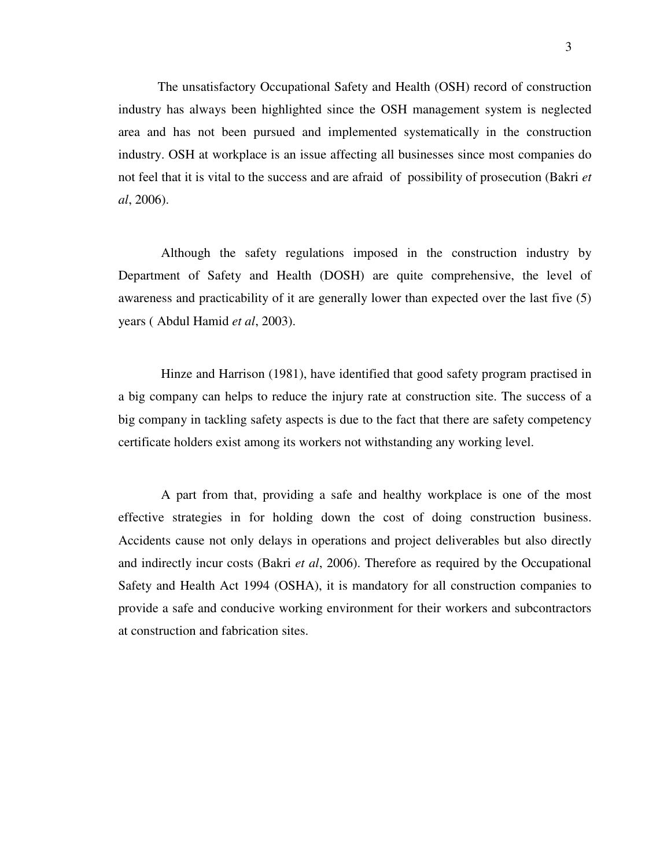The unsatisfactory Occupational Safety and Health (OSH) record of construction industry has always been highlighted since the OSH management system is neglected area and has not been pursued and implemented systematically in the construction industry. OSH at workplace is an issue affecting all businesses since most companies do not feel that it is vital to the success and are afraid of possibility of prosecution (Bakri *et al*, 2006).

 Although the safety regulations imposed in the construction industry by Department of Safety and Health (DOSH) are quite comprehensive, the level of awareness and practicability of it are generally lower than expected over the last five (5) years ( Abdul Hamid *et al*, 2003).

 Hinze and Harrison (1981), have identified that good safety program practised in a big company can helps to reduce the injury rate at construction site. The success of a big company in tackling safety aspects is due to the fact that there are safety competency certificate holders exist among its workers not withstanding any working level.

 A part from that, providing a safe and healthy workplace is one of the most effective strategies in for holding down the cost of doing construction business. Accidents cause not only delays in operations and project deliverables but also directly and indirectly incur costs (Bakri *et al*, 2006). Therefore as required by the Occupational Safety and Health Act 1994 (OSHA), it is mandatory for all construction companies to provide a safe and conducive working environment for their workers and subcontractors at construction and fabrication sites.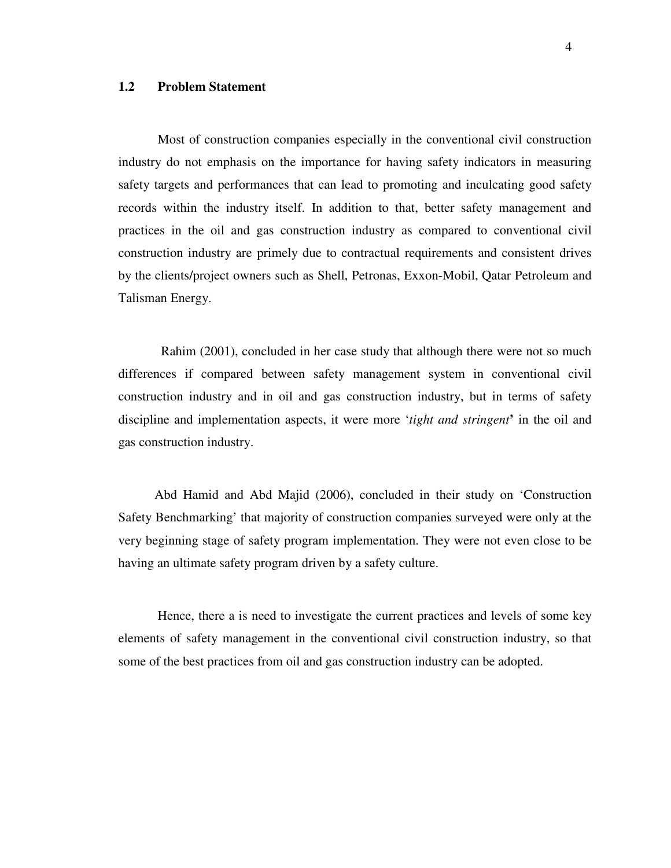## **1.2 Problem Statement**

 Most of construction companies especially in the conventional civil construction industry do not emphasis on the importance for having safety indicators in measuring safety targets and performances that can lead to promoting and inculcating good safety records within the industry itself. In addition to that, better safety management and practices in the oil and gas construction industry as compared to conventional civil construction industry are primely due to contractual requirements and consistent drives by the clients/project owners such as Shell, Petronas, Exxon-Mobil, Qatar Petroleum and Talisman Energy.

 Rahim (2001), concluded in her case study that although there were not so much differences if compared between safety management system in conventional civil construction industry and in oil and gas construction industry, but in terms of safety discipline and implementation aspects, it were more '*tight and stringent***'** in the oil and gas construction industry.

 Abd Hamid and Abd Majid (2006), concluded in their study on 'Construction Safety Benchmarking' that majority of construction companies surveyed were only at the very beginning stage of safety program implementation. They were not even close to be having an ultimate safety program driven by a safety culture.

 Hence, there a is need to investigate the current practices and levels of some key elements of safety management in the conventional civil construction industry, so that some of the best practices from oil and gas construction industry can be adopted.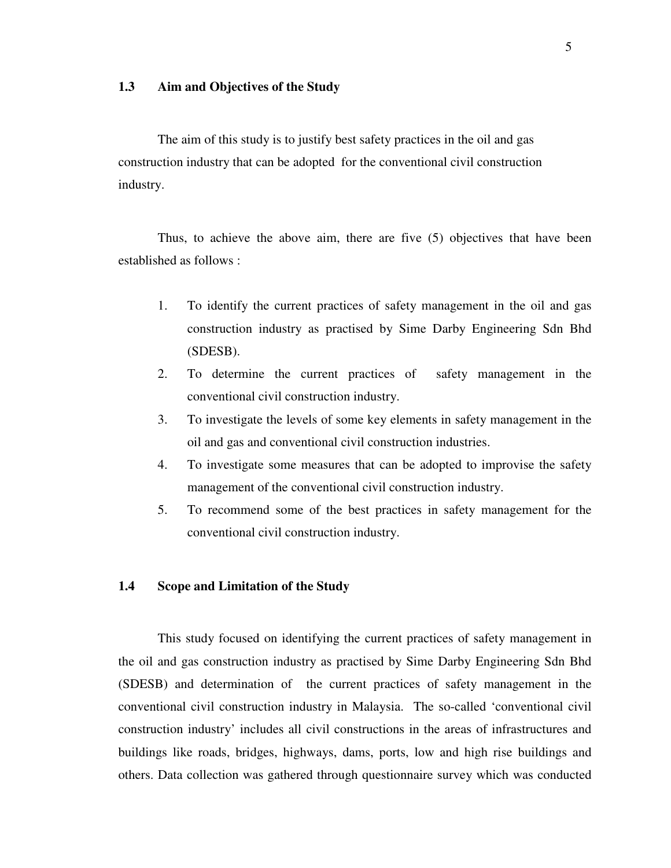## **1.3 Aim and Objectives of the Study**

 The aim of this study is to justify best safety practices in the oil and gas construction industry that can be adopted for the conventional civil construction industry.

 Thus, to achieve the above aim, there are five (5) objectives that have been established as follows :

- 1. To identify the current practices of safety management in the oil and gas construction industry as practised by Sime Darby Engineering Sdn Bhd (SDESB).
- 2. To determine the current practices of safety management in the conventional civil construction industry.
- 3. To investigate the levels of some key elements in safety management in the oil and gas and conventional civil construction industries.
- 4. To investigate some measures that can be adopted to improvise the safety management of the conventional civil construction industry.
- 5. To recommend some of the best practices in safety management for the conventional civil construction industry.

## **1.4 Scope and Limitation of the Study**

 This study focused on identifying the current practices of safety management in the oil and gas construction industry as practised by Sime Darby Engineering Sdn Bhd (SDESB) and determination of the current practices of safety management in the conventional civil construction industry in Malaysia. The so-called 'conventional civil construction industry' includes all civil constructions in the areas of infrastructures and buildings like roads, bridges, highways, dams, ports, low and high rise buildings and others. Data collection was gathered through questionnaire survey which was conducted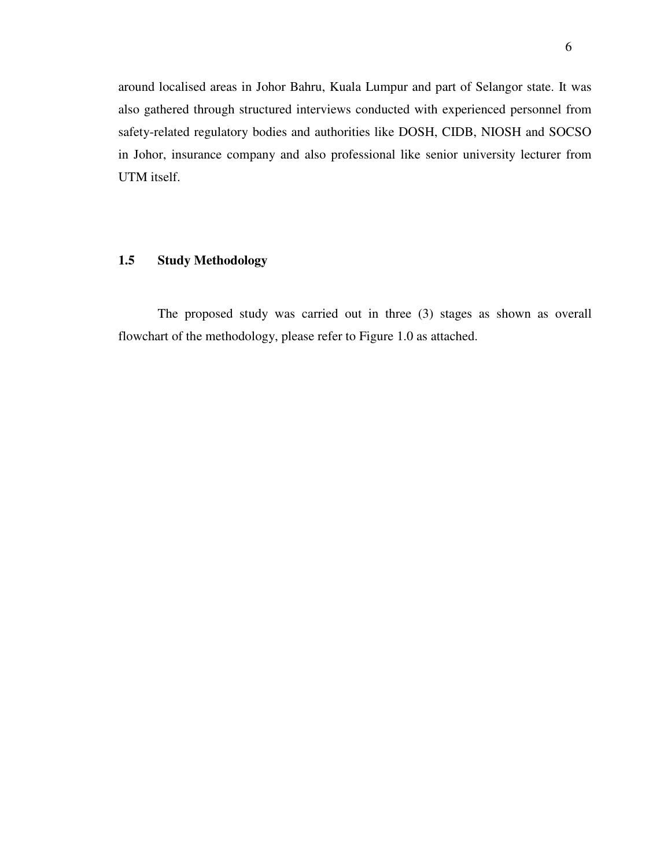around localised areas in Johor Bahru, Kuala Lumpur and part of Selangor state. It was also gathered through structured interviews conducted with experienced personnel from safety-related regulatory bodies and authorities like DOSH, CIDB, NIOSH and SOCSO in Johor, insurance company and also professional like senior university lecturer from UTM itself.

## **1.5 Study Methodology**

 The proposed study was carried out in three (3) stages as shown as overall flowchart of the methodology, please refer to Figure 1.0 as attached.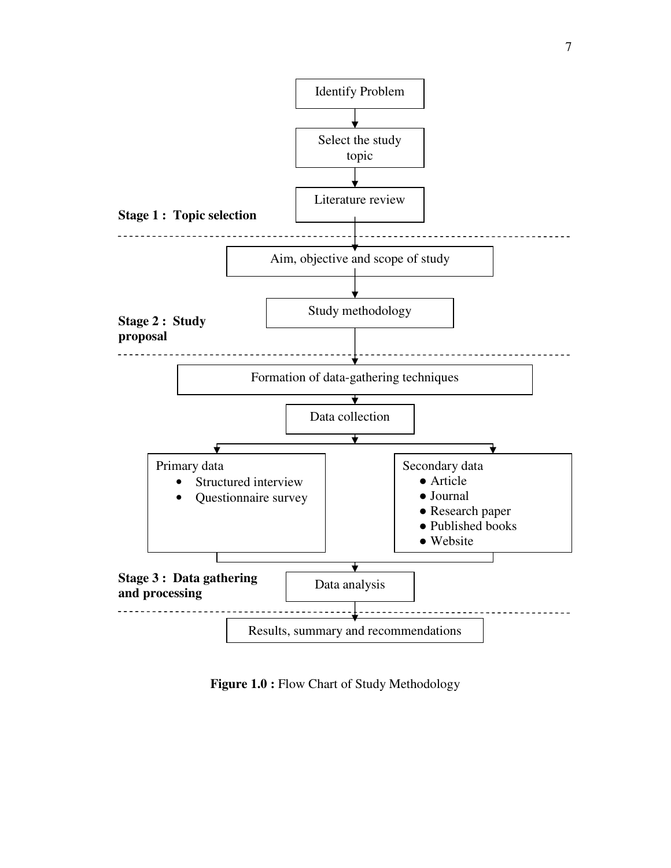

**Figure 1.0 :** Flow Chart of Study Methodology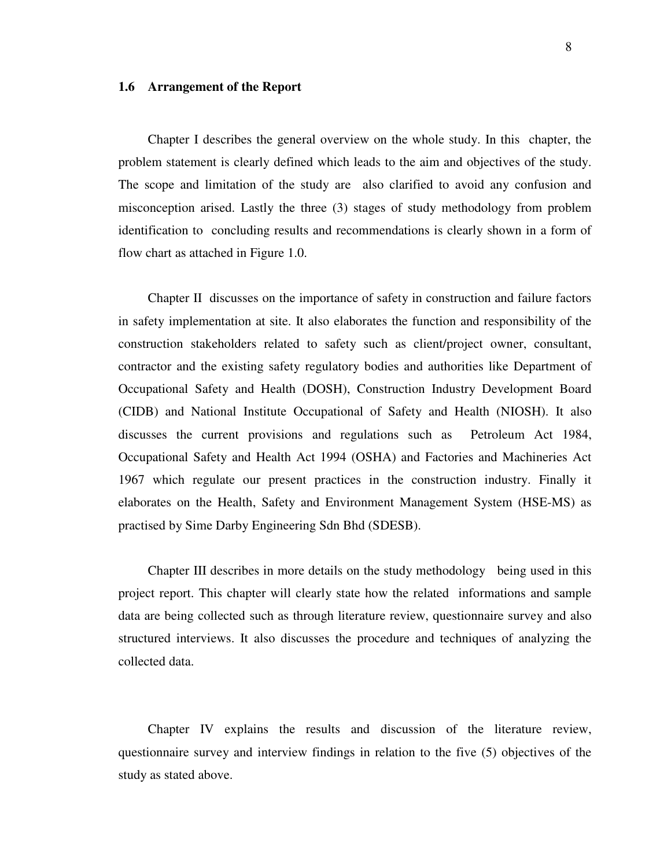### **1.6 Arrangement of the Report**

 Chapter I describes the general overview on the whole study. In this chapter, the problem statement is clearly defined which leads to the aim and objectives of the study. The scope and limitation of the study are also clarified to avoid any confusion and misconception arised. Lastly the three (3) stages of study methodology from problem identification to concluding results and recommendations is clearly shown in a form of flow chart as attached in Figure 1.0.

Chapter II discusses on the importance of safety in construction and failure factors in safety implementation at site. It also elaborates the function and responsibility of the construction stakeholders related to safety such as client/project owner, consultant, contractor and the existing safety regulatory bodies and authorities like Department of Occupational Safety and Health (DOSH), Construction Industry Development Board (CIDB) and National Institute Occupational of Safety and Health (NIOSH). It also discusses the current provisions and regulations such as Petroleum Act 1984, Occupational Safety and Health Act 1994 (OSHA) and Factories and Machineries Act 1967 which regulate our present practices in the construction industry. Finally it elaborates on the Health, Safety and Environment Management System (HSE-MS) as practised by Sime Darby Engineering Sdn Bhd (SDESB).

Chapter III describes in more details on the study methodology being used in this project report. This chapter will clearly state how the related informations and sample data are being collected such as through literature review, questionnaire survey and also structured interviews. It also discusses the procedure and techniques of analyzing the collected data.

 Chapter IV explains the results and discussion of the literature review, questionnaire survey and interview findings in relation to the five (5) objectives of the study as stated above.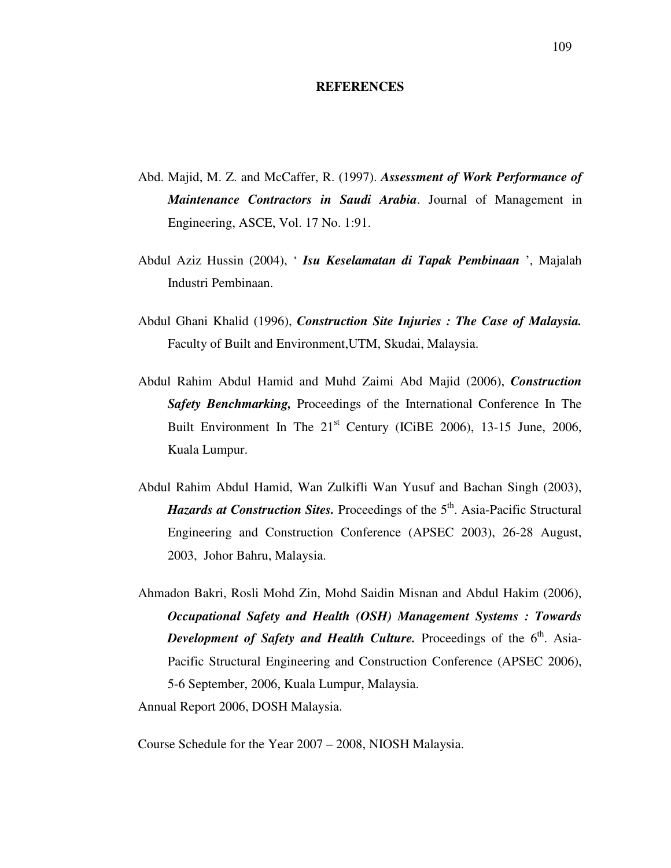### **REFERENCES**

- Abd. Majid, M. Z. and McCaffer, R. (1997). *Assessment of Work Performance of Maintenance Contractors in Saudi Arabia*. Journal of Management in Engineering, ASCE, Vol. 17 No. 1:91.
- Abdul Aziz Hussin (2004), ' *Isu Keselamatan di Tapak Pembinaan* ', Majalah Industri Pembinaan.
- Abdul Ghani Khalid (1996), *Construction Site Injuries : The Case of Malaysia.*  Faculty of Built and Environment,UTM, Skudai, Malaysia.
- Abdul Rahim Abdul Hamid and Muhd Zaimi Abd Majid (2006), *Construction Safety Benchmarking,* Proceedings of the International Conference In The Built Environment In The  $21<sup>st</sup>$  Century (ICiBE 2006), 13-15 June, 2006, Kuala Lumpur.
- Abdul Rahim Abdul Hamid, Wan Zulkifli Wan Yusuf and Bachan Singh (2003), *Hazards at Construction Sites.* Proceedings of the 5<sup>th</sup>. Asia-Pacific Structural Engineering and Construction Conference (APSEC 2003), 26-28 August, 2003, Johor Bahru, Malaysia.
- Ahmadon Bakri, Rosli Mohd Zin, Mohd Saidin Misnan and Abdul Hakim (2006), *Occupational Safety and Health (OSH) Management Systems : Towards Development of Safety and Health Culture.* Proceedings of the 6<sup>th</sup>. Asia-Pacific Structural Engineering and Construction Conference (APSEC 2006), 5-6 September, 2006, Kuala Lumpur, Malaysia. Annual Report 2006, DOSH Malaysia.

Course Schedule for the Year 2007 – 2008, NIOSH Malaysia.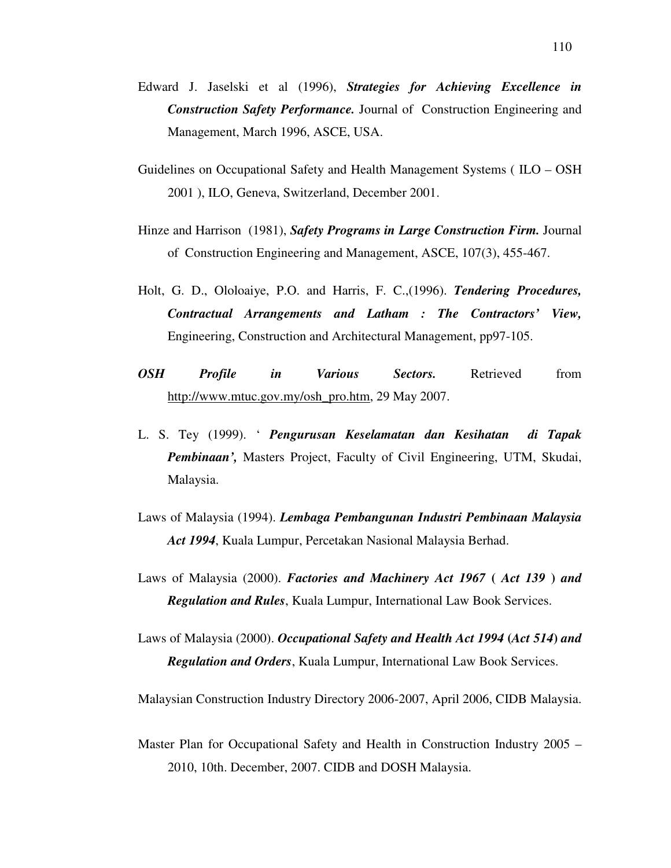- Edward J. Jaselski et al (1996), *Strategies for Achieving Excellence in Construction Safety Performance.* Journal of Construction Engineering and Management, March 1996, ASCE, USA.
- Guidelines on Occupational Safety and Health Management Systems ( ILO OSH 2001 ), ILO, Geneva, Switzerland, December 2001.
- Hinze and Harrison (1981), *Safety Programs in Large Construction Firm.* Journal of Construction Engineering and Management, ASCE, 107(3), 455-467.
- Holt, G. D., Ololoaiye, P.O. and Harris, F. C.,(1996). *Tendering Procedures, Contractual Arrangements and Latham : The Contractors' View,*  Engineering, Construction and Architectural Management, pp97-105.
- *OSH Profile in Various Sectors.* Retrieved from http://www.mtuc.gov.my/osh\_pro.htm, 29 May 2007.
- L. S. Tey (1999). ' *Pengurusan Keselamatan dan Kesihatan di Tapak Pembinaan',* Masters Project, Faculty of Civil Engineering, UTM, Skudai, Malaysia.
- Laws of Malaysia (1994). *Lembaga Pembangunan Industri Pembinaan Malaysia Act 1994*, Kuala Lumpur, Percetakan Nasional Malaysia Berhad.
- Laws of Malaysia (2000). *Factories and Machinery Act 1967* **(** *Act 139* **)** *and Regulation and Rules*, Kuala Lumpur, International Law Book Services.
- Laws of Malaysia (2000). *Occupational Safety and Health Act 1994* **(***Act 514***)** *and Regulation and Orders*, Kuala Lumpur, International Law Book Services.

Malaysian Construction Industry Directory 2006-2007, April 2006, CIDB Malaysia.

Master Plan for Occupational Safety and Health in Construction Industry 2005 – 2010, 10th. December, 2007. CIDB and DOSH Malaysia.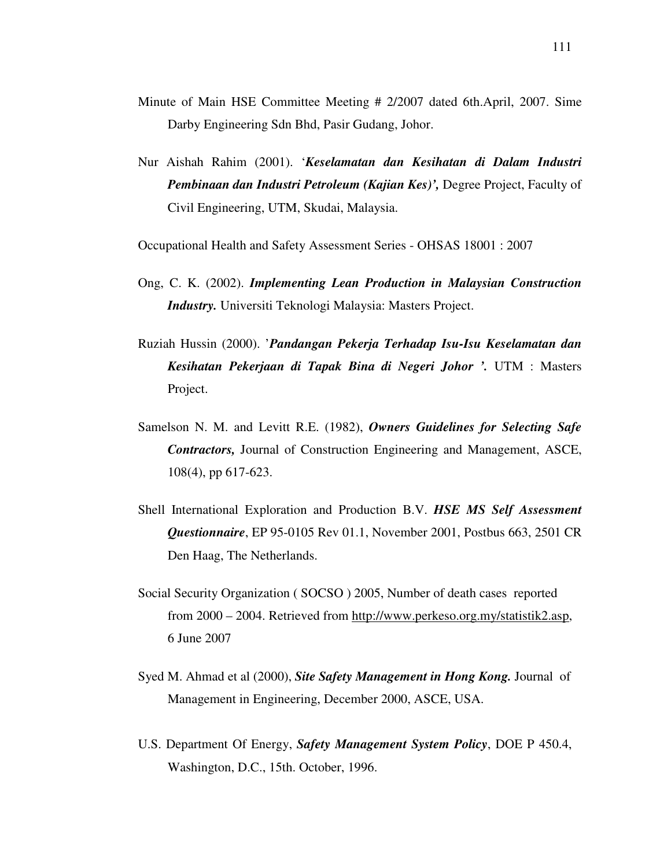- Minute of Main HSE Committee Meeting # 2/2007 dated 6th.April, 2007. Sime Darby Engineering Sdn Bhd, Pasir Gudang, Johor.
- Nur Aishah Rahim (2001). '*Keselamatan dan Kesihatan di Dalam Industri Pembinaan dan Industri Petroleum (Kajian Kes)',* Degree Project, Faculty of Civil Engineering, UTM, Skudai, Malaysia.

Occupational Health and Safety Assessment Series - OHSAS 18001 : 2007

- Ong, C. K. (2002). *Implementing Lean Production in Malaysian Construction Industry.* Universiti Teknologi Malaysia: Masters Project.
- Ruziah Hussin (2000). '*Pandangan Pekerja Terhadap Isu-Isu Keselamatan dan Kesihatan Pekerjaan di Tapak Bina di Negeri Johor '.* UTM : Masters Project.
- Samelson N. M. and Levitt R.E. (1982), *Owners Guidelines for Selecting Safe Contractors,* Journal of Construction Engineering and Management, ASCE, 108(4), pp 617-623.
- Shell International Exploration and Production B.V. *HSE MS Self Assessment Questionnaire*, EP 95-0105 Rev 01.1, November 2001, Postbus 663, 2501 CR Den Haag, The Netherlands.
- Social Security Organization ( SOCSO ) 2005, Number of death cases reported from 2000 – 2004. Retrieved from http://www.perkeso.org.my/statistik2.asp, 6 June 2007
- Syed M. Ahmad et al (2000), *Site Safety Management in Hong Kong.* Journal of Management in Engineering, December 2000, ASCE, USA.
- U.S. Department Of Energy, *Safety Management System Policy*, DOE P 450.4, Washington, D.C., 15th. October, 1996.